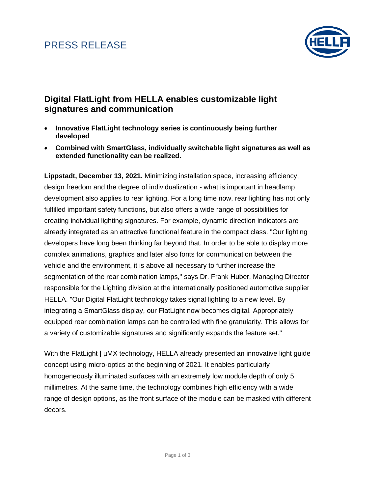## PRESS RELEASE



#### **Digital FlatLight from HELLA enables customizable light signatures and communication**

- **Innovative FlatLight technology series is continuously being further developed**
- **Combined with SmartGlass, individually switchable light signatures as well as extended functionality can be realized.**

**Lippstadt, December 13, 2021.** Minimizing installation space, increasing efficiency, design freedom and the degree of individualization - what is important in headlamp development also applies to rear lighting. For a long time now, rear lighting has not only fulfilled important safety functions, but also offers a wide range of possibilities for creating individual lighting signatures. For example, dynamic direction indicators are already integrated as an attractive functional feature in the compact class. "Our lighting developers have long been thinking far beyond that. In order to be able to display more complex animations, graphics and later also fonts for communication between the vehicle and the environment, it is above all necessary to further increase the segmentation of the rear combination lamps," says Dr. Frank Huber, Managing Director responsible for the Lighting division at the internationally positioned automotive supplier HELLA. "Our Digital FlatLight technology takes signal lighting to a new level. By integrating a SmartGlass display, our FlatLight now becomes digital. Appropriately equipped rear combination lamps can be controlled with fine granularity. This allows for a variety of customizable signatures and significantly expands the feature set."

With the FlatLight |  $\mu$ MX technology, HELLA already presented an innovative light guide concept using micro-optics at the beginning of 2021. It enables particularly homogeneously illuminated surfaces with an extremely low module depth of only 5 millimetres. At the same time, the technology combines high efficiency with a wide range of design options, as the front surface of the module can be masked with different decors.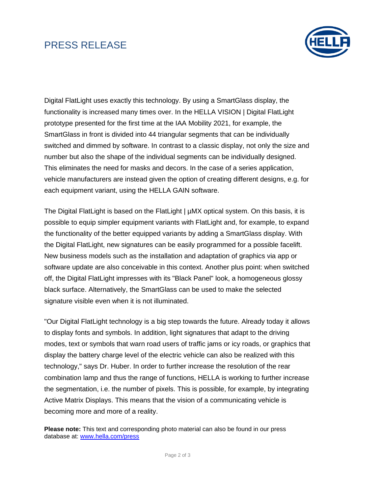## PRESS RELEASE



Digital FlatLight uses exactly this technology. By using a SmartGlass display, the functionality is increased many times over. In the HELLA VISION | Digital FlatLight prototype presented for the first time at the IAA Mobility 2021, for example, the SmartGlass in front is divided into 44 triangular segments that can be individually switched and dimmed by software. In contrast to a classic display, not only the size and number but also the shape of the individual segments can be individually designed. This eliminates the need for masks and decors. In the case of a series application, vehicle manufacturers are instead given the option of creating different designs, e.g. for each equipment variant, using the HELLA GAIN software.

The Digital FlatLight is based on the FlatLight | µMX optical system. On this basis, it is possible to equip simpler equipment variants with FlatLight and, for example, to expand the functionality of the better equipped variants by adding a SmartGlass display. With the Digital FlatLight, new signatures can be easily programmed for a possible facelift. New business models such as the installation and adaptation of graphics via app or software update are also conceivable in this context. Another plus point: when switched off, the Digital FlatLight impresses with its "Black Panel" look, a homogeneous glossy black surface. Alternatively, the SmartGlass can be used to make the selected signature visible even when it is not illuminated.

"Our Digital FlatLight technology is a big step towards the future. Already today it allows to display fonts and symbols. In addition, light signatures that adapt to the driving modes, text or symbols that warn road users of traffic jams or icy roads, or graphics that display the battery charge level of the electric vehicle can also be realized with this technology," says Dr. Huber. In order to further increase the resolution of the rear combination lamp and thus the range of functions, HELLA is working to further increase the segmentation, i.e. the number of pixels. This is possible, for example, by integrating Active Matrix Displays. This means that the vision of a communicating vehicle is becoming more and more of a reality.

**Please note:** This text and corresponding photo material can also be found in our press database at: [www.hella.com/press](https://www.hella.com/hella-com/en/Press-7633.html)